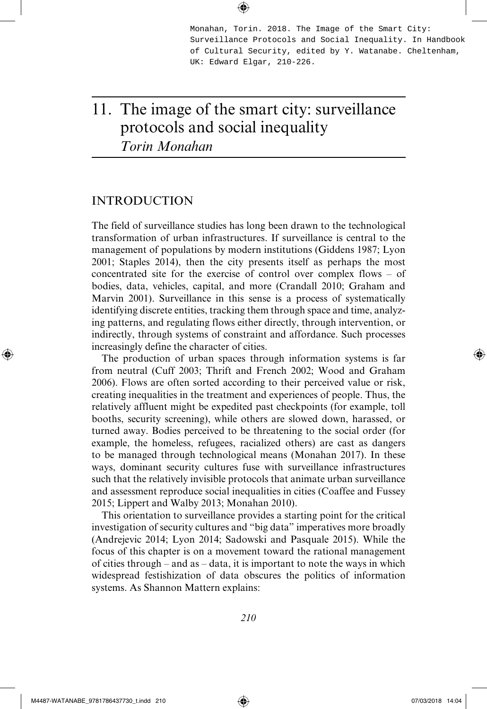Monahan, Torin. 2018. The Image of the Smart City: Surveillance Protocols and Social Inequality. In Handbook of Cultural Security, edited by Y. Watanabe. Cheltenham, UK: Edward Elgar, 210-226.

# 11. The image of the smart city: surveillance protocols and social inequality *Torin Monahan*

### INTRODUCTION

The field of surveillance studies has long been drawn to the technological transformation of urban infrastructures. If surveillance is central to the management of populations by modern institutions (Giddens 1987; Lyon 2001; Staples 2014), then the city presents itself as perhaps the most concentrated site for the exercise of control over complex flows – of bodies, data, vehicles, capital, and more (Crandall 2010; Graham and Marvin 2001). Surveillance in this sense is a process of systematically identifying discrete entities, tracking them through space and time, analyzing patterns, and regulating flows either directly, through intervention, or indirectly, through systems of constraint and affordance. Such processes increasingly define the character of cities.

The production of urban spaces through information systems is far from neutral (Cuff 2003; Thrift and French 2002; Wood and Graham 2006). Flows are often sorted according to their perceived value or risk, creating inequalities in the treatment and experiences of people. Thus, the relatively affluent might be expedited past checkpoints (for example, toll booths, security screening), while others are slowed down, harassed, or turned away. Bodies perceived to be threatening to the social order (for example, the homeless, refugees, racialized others) are cast as dangers to be managed through technological means (Monahan 2017). In these ways, dominant security cultures fuse with surveillance infrastructures such that the relatively invisible protocols that animate urban surveillance and assessment reproduce social inequalities in cities (Coaffee and Fussey 2015; Lippert and Walby 2013; Monahan 2010).

This orientation to surveillance provides a starting point for the critical investigation of security cultures and "big data" imperatives more broadly (Andrejevic 2014; Lyon 2014; Sadowski and Pasquale 2015). While the focus of this chapter is on a movement toward the rational management of cities through – and as – data, it is important to note the ways in which widespread festishization of data obscures the politics of information systems. As Shannon Mattern explains:

*210*

⊕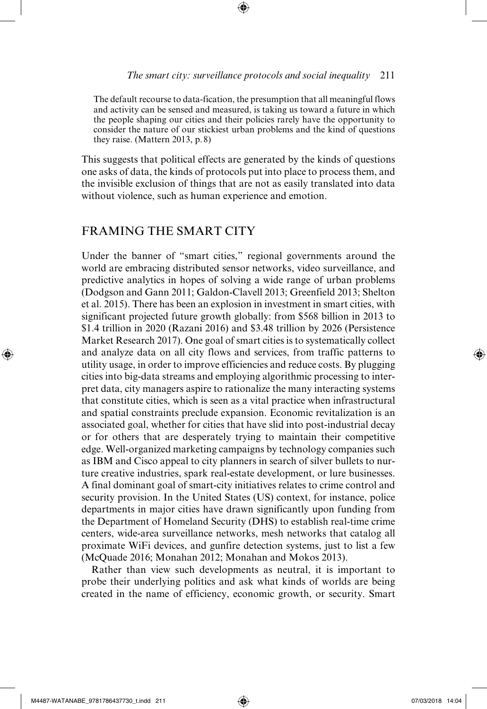The default recourse to data-fication, the presumption that all meaningful flows and activity can be sensed and measured, is taking us toward a future in which the people shaping our cities and their policies rarely have the opportunity to consider the nature of our stickiest urban problems and the kind of questions they raise. (Mattern 2013, p.8)

⊕

This suggests that political effects are generated by the kinds of questions one asks of data, the kinds of protocols put into place to process them, and the invisible exclusion of things that are not as easily translated into data without violence, such as human experience and emotion.

# FRAMING THE SMART CITY

Under the banner of "smart cities," regional governments around the world are embracing distributed sensor networks, video surveillance, and predictive analytics in hopes of solving a wide range of urban problems (Dodgson and Gann 2011; Galdon-Clavell 2013; Greenfield 2013; Shelton et al. 2015). There has been an explosion in investment in smart cities, with significant projected future growth globally: from \$568 billion in 2013 to \$1.4 trillion in 2020 (Razani 2016) and \$3.48 trillion by 2026 (Persistence Market Research 2017). One goal of smart cities is to systematically collect and analyze data on all city flows and services, from traffic patterns to utility usage, in order to improve efficiencies and reduce costs. By plugging cities into big-data streams and employing algorithmic processing to interpret data, city managers aspire to rationalize the many interacting systems that constitute cities, which is seen as a vital practice when infrastructural and spatial constraints preclude expansion. Economic revitalization is an associated goal, whether for cities that have slid into post-industrial decay or for others that are desperately trying to maintain their competitive edge. Well-organized marketing campaigns by technology companies such as IBM and Cisco appeal to city planners in search of silver bullets to nurture creative industries, spark real-estate development, or lure businesses. A final dominant goal of smart-city initiatives relates to crime control and security provision. In the United States (US) context, for instance, police departments in major cities have drawn significantly upon funding from the Department of Homeland Security (DHS) to establish real-time crime centers, wide-area surveillance networks, mesh networks that catalog all proximate WiFi devices, and gunfire detection systems, just to list a few (McQuade 2016; Monahan 2012; Monahan and Mokos 2013).

Rather than view such developments as neutral, it is important to probe their underlying politics and ask what kinds of worlds are being created in the name of efficiency, economic growth, or security. Smart

⊕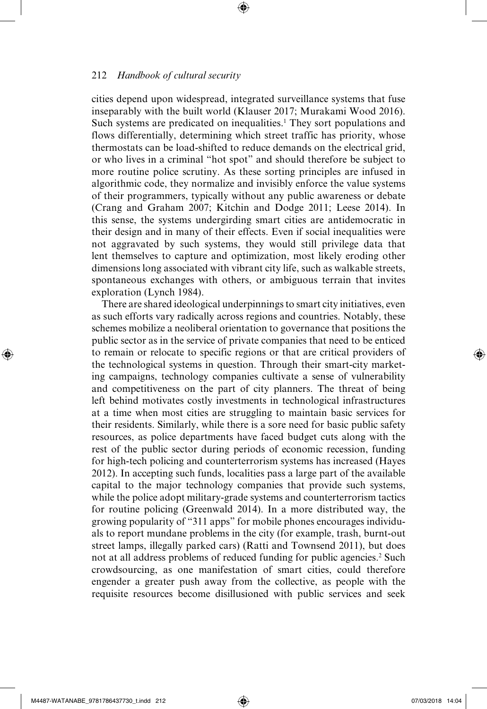cities depend upon widespread, integrated surveillance systems that fuse inseparably with the built world (Klauser 2017; Murakami Wood 2016). Such systems are predicated on inequalities.<sup>1</sup> They sort populations and flows differentially, determining which street traffic has priority, whose thermostats can be load-shifted to reduce demands on the electrical grid, or who lives in a criminal "hot spot" and should therefore be subject to more routine police scrutiny. As these sorting principles are infused in algorithmic code, they normalize and invisibly enforce the value systems of their programmers, typically without any public awareness or debate (Crang and Graham 2007; Kitchin and Dodge 2011; Leese 2014). In this sense, the systems undergirding smart cities are antidemocratic in their design and in many of their effects. Even if social inequalities were not aggravated by such systems, they would still privilege data that lent themselves to capture and optimization, most likely eroding other dimensions long associated with vibrant city life, such as walkable streets, spontaneous exchanges with others, or ambiguous terrain that invites exploration (Lynch 1984).

⊕

There are shared ideological underpinnings to smart city initiatives, even as such efforts vary radically across regions and countries. Notably, these schemes mobilize a neoliberal orientation to governance that positions the public sector as in the service of private companies that need to be enticed to remain or relocate to specific regions or that are critical providers of the technological systems in question. Through their smart-city marketing campaigns, technology companies cultivate a sense of vulnerability and competitiveness on the part of city planners. The threat of being left behind motivates costly investments in technological infrastructures at a time when most cities are struggling to maintain basic services for their residents. Similarly, while there is a sore need for basic public safety resources, as police departments have faced budget cuts along with the rest of the public sector during periods of economic recession, funding for high-tech policing and counterterrorism systems has increased (Hayes 2012). In accepting such funds, localities pass a large part of the available capital to the major technology companies that provide such systems, while the police adopt military-grade systems and counterterrorism tactics for routine policing (Greenwald 2014). In a more distributed way, the growing popularity of "311 apps" for mobile phones encourages individuals to report mundane problems in the city (for example, trash, burnt-out street lamps, illegally parked cars) (Ratti and Townsend 2011), but does not at all address problems of reduced funding for public agencies.<sup>2</sup> Such crowdsourcing, as one manifestation of smart cities, could therefore engender a greater push away from the collective, as people with the requisite resources become disillusioned with public services and seek

⊕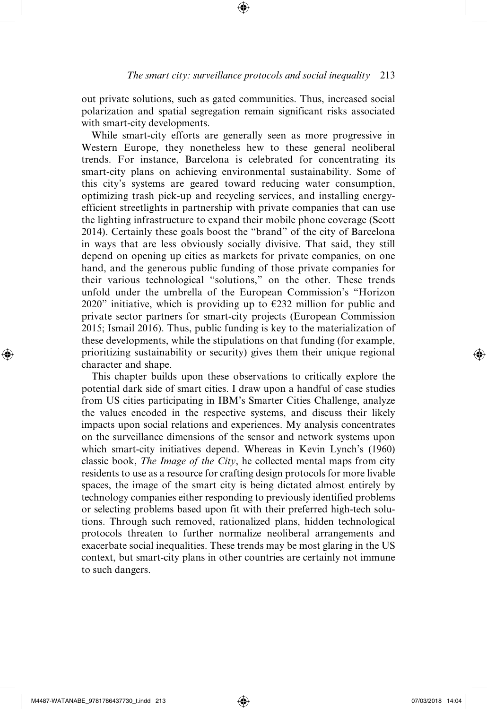out private solutions, such as gated communities. Thus, increased social polarization and spatial segregation remain significant risks associated with smart-city developments.

⊕

While smart-city efforts are generally seen as more progressive in Western Europe, they nonetheless hew to these general neoliberal trends. For instance, Barcelona is celebrated for concentrating its smart-city plans on achieving environmental sustainability. Some of this city's systems are geared toward reducing water consumption, optimizing trash pick-up and recycling services, and installing energyefficient streetlights in partnership with private companies that can use the lighting infrastructure to expand their mobile phone coverage (Scott 2014). Certainly these goals boost the "brand" of the city of Barcelona in ways that are less obviously socially divisive. That said, they still depend on opening up cities as markets for private companies, on one hand, and the generous public funding of those private companies for their various technological "solutions," on the other. These trends unfold under the umbrella of the European Commission's "Horizon 2020" initiative, which is providing up to  $\epsilon$ 232 million for public and private sector partners for smart-city projects (European Commission 2015; Ismail 2016). Thus, public funding is key to the materialization of these developments, while the stipulations on that funding (for example, prioritizing sustainability or security) gives them their unique regional character and shape.

This chapter builds upon these observations to critically explore the potential dark side of smart cities. I draw upon a handful of case studies from US cities participating in IBM's Smarter Cities Challenge, analyze the values encoded in the respective systems, and discuss their likely impacts upon social relations and experiences. My analysis concentrates on the surveillance dimensions of the sensor and network systems upon which smart-city initiatives depend. Whereas in Kevin Lynch's (1960) classic book, *The Image of the City*, he collected mental maps from city residents to use as a resource for crafting design protocols for more livable spaces, the image of the smart city is being dictated almost entirely by technology companies either responding to previously identified problems or selecting problems based upon fit with their preferred high-tech solutions. Through such removed, rationalized plans, hidden technological protocols threaten to further normalize neoliberal arrangements and exacerbate social inequalities. These trends may be most glaring in the US context, but smart-city plans in other countries are certainly not immune to such dangers.

⊕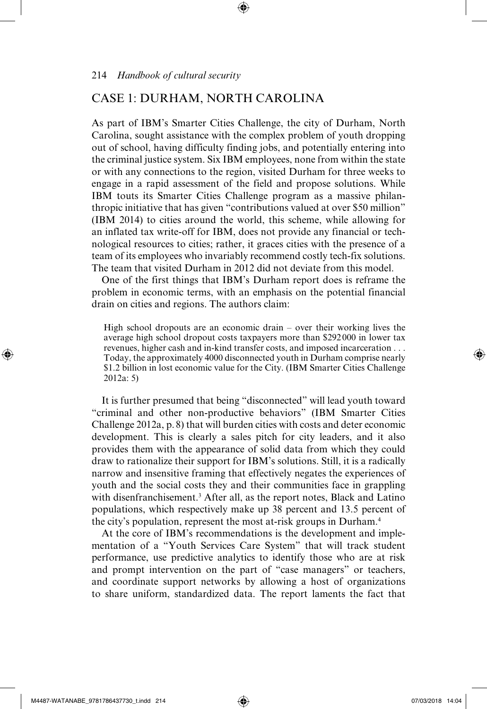## CASE 1: DURHAM, NORTH CAROLINA

As part of IBM's Smarter Cities Challenge, the city of Durham, North Carolina, sought assistance with the complex problem of youth dropping out of school, having difficulty finding jobs, and potentially entering into the criminal justice system. Six IBM employees, none from within the state or with any connections to the region, visited Durham for three weeks to engage in a rapid assessment of the field and propose solutions. While IBM touts its Smarter Cities Challenge program as a massive philanthropic initiative that has given "contributions valued at over \$50 million" (IBM 2014) to cities around the world, this scheme, while allowing for an inflated tax write-off for IBM, does not provide any financial or technological resources to cities; rather, it graces cities with the presence of a team of its employees who invariably recommend costly tech-fix solutions. The team that visited Durham in 2012 did not deviate from this model.

⊕

One of the first things that IBM's Durham report does is reframe the problem in economic terms, with an emphasis on the potential financial drain on cities and regions. The authors claim:

High school dropouts are an economic drain – over their working lives the average high school dropout costs taxpayers more than \$292 000 in lower tax revenues, higher cash and in-kind transfer costs, and imposed incarceration . . . Today, the approximately 4000 disconnected youth in Durham comprise nearly \$1.2 billion in lost economic value for the City. (IBM Smarter Cities Challenge 2012a: 5)

It is further presumed that being "disconnected" will lead youth toward "criminal and other non-productive behaviors" (IBM Smarter Cities Challenge 2012a, p.8) that will burden cities with costs and deter economic development. This is clearly a sales pitch for city leaders, and it also provides them with the appearance of solid data from which they could draw to rationalize their support for IBM's solutions. Still, it is a radically narrow and insensitive framing that effectively negates the experiences of youth and the social costs they and their communities face in grappling with disenfranchisement.<sup>3</sup> After all, as the report notes, Black and Latino populations, which respectively make up 38 percent and 13.5 percent of the city's population, represent the most at-risk groups in Durham.4

At the core of IBM's recommendations is the development and implementation of a "Youth Services Care System" that will track student performance, use predictive analytics to identify those who are at risk and prompt intervention on the part of "case managers" or teachers, and coordinate support networks by allowing a host of organizations to share uniform, standardized data. The report laments the fact that

⊕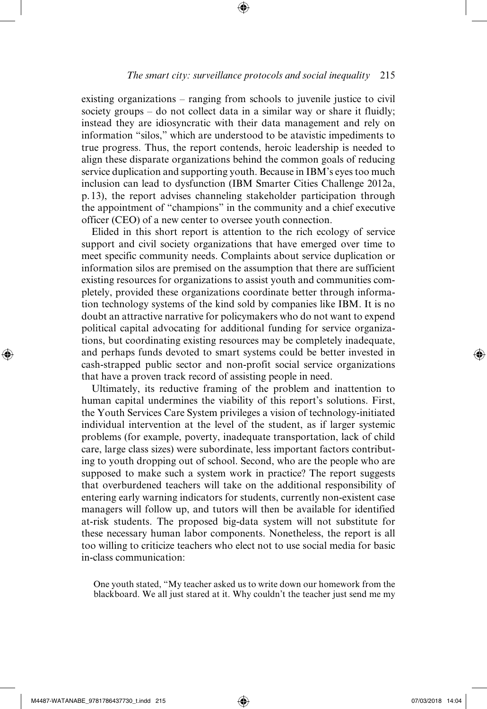#### *The smart city: surveillance protocols and social inequality* 215

⊕

existing organizations – ranging from schools to juvenile justice to civil society groups – do not collect data in a similar way or share it fluidly; instead they are idiosyncratic with their data management and rely on information "silos," which are understood to be atavistic impediments to true progress. Thus, the report contends, heroic leadership is needed to align these disparate organizations behind the common goals of reducing service duplication and supporting youth. Because in IBM's eyes too much inclusion can lead to dysfunction (IBM Smarter Cities Challenge 2012a, p.13), the report advises channeling stakeholder participation through the appointment of "champions" in the community and a chief executive officer (CEO) of a new center to oversee youth connection.

Elided in this short report is attention to the rich ecology of service support and civil society organizations that have emerged over time to meet specific community needs. Complaints about service duplication or information silos are premised on the assumption that there are sufficient existing resources for organizations to assist youth and communities completely, provided these organizations coordinate better through information technology systems of the kind sold by companies like IBM. It is no doubt an attractive narrative for policymakers who do not want to expend political capital advocating for additional funding for service organizations, but coordinating existing resources may be completely inadequate, and perhaps funds devoted to smart systems could be better invested in cash-strapped public sector and non-profit social service organizations that have a proven track record of assisting people in need.

Ultimately, its reductive framing of the problem and inattention to human capital undermines the viability of this report's solutions. First, the Youth Services Care System privileges a vision of technology-initiated individual intervention at the level of the student, as if larger systemic problems (for example, poverty, inadequate transportation, lack of child care, large class sizes) were subordinate, less important factors contributing to youth dropping out of school. Second, who are the people who are supposed to make such a system work in practice? The report suggests that overburdened teachers will take on the additional responsibility of entering early warning indicators for students, currently non-existent case managers will follow up, and tutors will then be available for identified at-risk students. The proposed big-data system will not substitute for these necessary human labor components. Nonetheless, the report is all too willing to criticize teachers who elect not to use social media for basic in-class communication:

One youth stated, "My teacher asked us to write down our homework from the blackboard. We all just stared at it. Why couldn't the teacher just send me my

⊕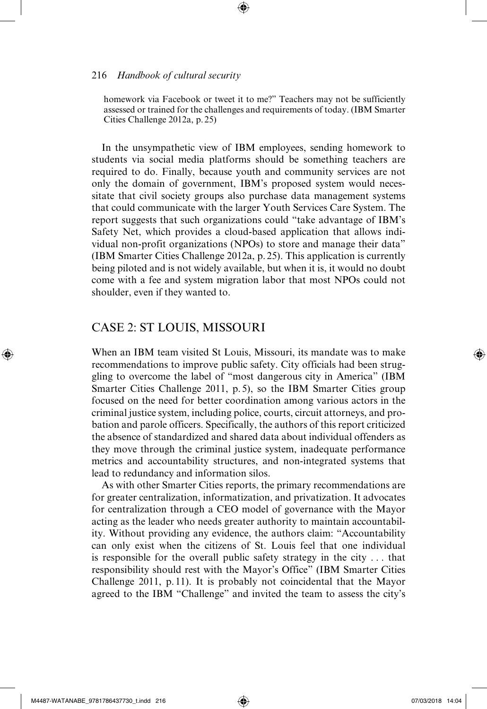homework via Facebook or tweet it to me?" Teachers may not be sufficiently assessed or trained for the challenges and requirements of today. (IBM Smarter Cities Challenge 2012a, p.25)

⊕

In the unsympathetic view of IBM employees, sending homework to students via social media platforms should be something teachers are required to do. Finally, because youth and community services are not only the domain of government, IBM's proposed system would necessitate that civil society groups also purchase data management systems that could communicate with the larger Youth Services Care System. The report suggests that such organizations could "take advantage of IBM's Safety Net, which provides a cloud-based application that allows individual non-profit organizations (NPOs) to store and manage their data" (IBM Smarter Cities Challenge 2012a, p. 25). This application is currently being piloted and is not widely available, but when it is, it would no doubt come with a fee and system migration labor that most NPOs could not shoulder, even if they wanted to.

#### CASE 2: ST LOUIS, MISSOURI

When an IBM team visited St Louis, Missouri, its mandate was to make recommendations to improve public safety. City officials had been struggling to overcome the label of "most dangerous city in America" (IBM Smarter Cities Challenge 2011, p.5), so the IBM Smarter Cities group focused on the need for better coordination among various actors in the criminal justice system, including police, courts, circuit attorneys, and probation and parole officers. Specifically, the authors of this report criticized the absence of standardized and shared data about individual offenders as they move through the criminal justice system, inadequate performance metrics and accountability structures, and non-integrated systems that lead to redundancy and information silos.

As with other Smarter Cities reports, the primary recommendations are for greater centralization, informatization, and privatization. It advocates for centralization through a CEO model of governance with the Mayor acting as the leader who needs greater authority to maintain accountability. Without providing any evidence, the authors claim: "Accountability can only exist when the citizens of St. Louis feel that one individual is responsible for the overall public safety strategy in the city . . . that responsibility should rest with the Mayor's Office" (IBM Smarter Cities Challenge 2011, p. 11). It is probably not coincidental that the Mayor agreed to the IBM "Challenge" and invited the team to assess the city's

⊕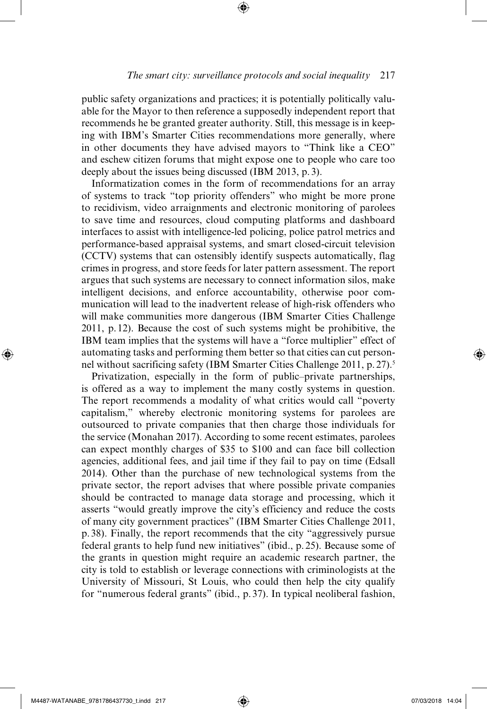public safety organizations and practices; it is potentially politically valuable for the Mayor to then reference a supposedly independent report that recommends he be granted greater authority. Still, this message is in keeping with IBM's Smarter Cities recommendations more generally, where in other documents they have advised mayors to "Think like a CEO" and eschew citizen forums that might expose one to people who care too deeply about the issues being discussed (IBM 2013, p.3).

⊕

Informatization comes in the form of recommendations for an array of systems to track "top priority offenders" who might be more prone to recidivism, video arraignments and electronic monitoring of parolees to save time and resources, cloud computing platforms and dashboard interfaces to assist with intelligence-led policing, police patrol metrics and performance-based appraisal systems, and smart closed-circuit television (CCTV) systems that can ostensibly identify suspects automatically, flag crimes in progress, and store feeds for later pattern assessment. The report argues that such systems are necessary to connect information silos, make intelligent decisions, and enforce accountability, otherwise poor communication will lead to the inadvertent release of high-risk offenders who will make communities more dangerous (IBM Smarter Cities Challenge 2011, p.12). Because the cost of such systems might be prohibitive, the IBM team implies that the systems will have a "force multiplier" effect of automating tasks and performing them better so that cities can cut personnel without sacrificing safety (IBM Smarter Cities Challenge 2011, p. 27).<sup>5</sup>

Privatization, especially in the form of public–private partnerships, is offered as a way to implement the many costly systems in question. The report recommends a modality of what critics would call "poverty capitalism," whereby electronic monitoring systems for parolees are outsourced to private companies that then charge those individuals for the service (Monahan 2017). According to some recent estimates, parolees can expect monthly charges of \$35 to \$100 and can face bill collection agencies, additional fees, and jail time if they fail to pay on time (Edsall 2014). Other than the purchase of new technological systems from the private sector, the report advises that where possible private companies should be contracted to manage data storage and processing, which it asserts "would greatly improve the city's efficiency and reduce the costs of many city government practices" (IBM Smarter Cities Challenge 2011, p.38). Finally, the report recommends that the city "aggressively pursue federal grants to help fund new initiatives" (ibid., p.25). Because some of the grants in question might require an academic research partner, the city is told to establish or leverage connections with criminologists at the University of Missouri, St Louis, who could then help the city qualify for "numerous federal grants" (ibid., p.37). In typical neoliberal fashion,

⊕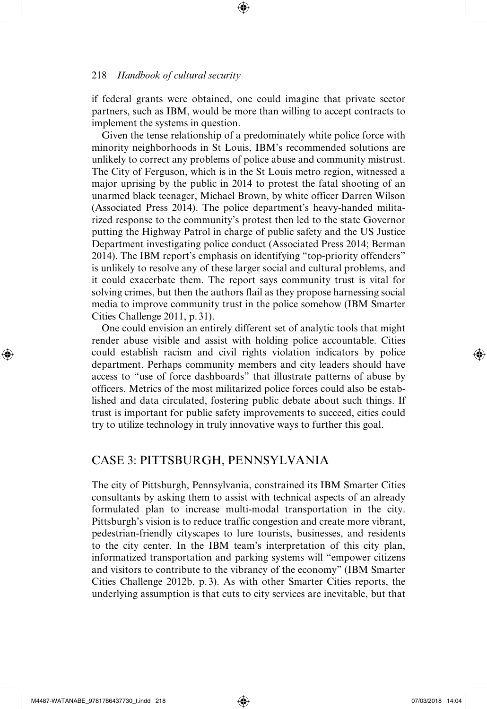if federal grants were obtained, one could imagine that private sector partners, such as IBM, would be more than willing to accept contracts to implement the systems in question.

⊕

Given the tense relationship of a predominately white police force with minority neighborhoods in St Louis, IBM's recommended solutions are unlikely to correct any problems of police abuse and community mistrust. The City of Ferguson, which is in the St Louis metro region, witnessed a major uprising by the public in 2014 to protest the fatal shooting of an unarmed black teenager, Michael Brown, by white officer Darren Wilson (Associated Press 2014). The police department's heavy-handed militarized response to the community's protest then led to the state Governor putting the Highway Patrol in charge of public safety and the US Justice Department investigating police conduct (Associated Press 2014; Berman 2014). The IBM report's emphasis on identifying "top-priority offenders" is unlikely to resolve any of these larger social and cultural problems, and it could exacerbate them. The report says community trust is vital for solving crimes, but then the authors flail as they propose harnessing social media to improve community trust in the police somehow (IBM Smarter Cities Challenge 2011, p. 31).

One could envision an entirely different set of analytic tools that might render abuse visible and assist with holding police accountable. Cities could establish racism and civil rights violation indicators by police department. Perhaps community members and city leaders should have access to "use of force dashboards" that illustrate patterns of abuse by officers. Metrics of the most militarized police forces could also be established and data circulated, fostering public debate about such things. If trust is important for public safety improvements to succeed, cities could try to utilize technology in truly innovative ways to further this goal.

## CASE 3: PITTSBURGH, PENNSYLVANIA

The city of Pittsburgh, Pennsylvania, constrained its IBM Smarter Cities consultants by asking them to assist with technical aspects of an already formulated plan to increase multi-modal transportation in the city. Pittsburgh's vision is to reduce traffic congestion and create more vibrant, pedestrian-friendly cityscapes to lure tourists, businesses, and residents to the city center. In the IBM team's interpretation of this city plan, informatized transportation and parking systems will "empower citizens and visitors to contribute to the vibrancy of the economy" (IBM Smarter Cities Challenge 2012b, p.3). As with other Smarter Cities reports, the underlying assumption is that cuts to city services are inevitable, but that

⊕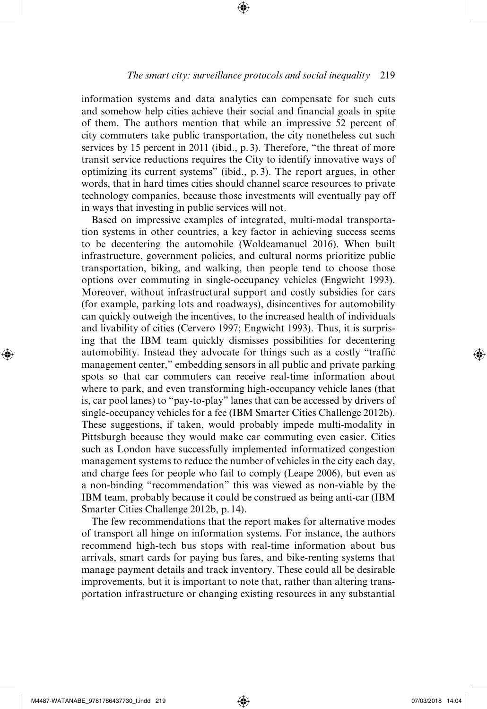#### *The smart city: surveillance protocols and social inequality* 219

⊕

information systems and data analytics can compensate for such cuts and somehow help cities achieve their social and financial goals in spite of them. The authors mention that while an impressive 52 percent of city commuters take public transportation, the city nonetheless cut such services by 15 percent in 2011 (ibid., p. 3). Therefore, "the threat of more transit service reductions requires the City to identify innovative ways of optimizing its current systems" (ibid., p.3). The report argues, in other words, that in hard times cities should channel scarce resources to private technology companies, because those investments will eventually pay off in ways that investing in public services will not.

Based on impressive examples of integrated, multi-modal transportation systems in other countries, a key factor in achieving success seems to be decentering the automobile (Woldeamanuel 2016). When built infrastructure, government policies, and cultural norms prioritize public transportation, biking, and walking, then people tend to choose those options over commuting in single-occupancy vehicles (Engwicht 1993). Moreover, without infrastructural support and costly subsidies for cars (for example, parking lots and roadways), disincentives for automobility can quickly outweigh the incentives, to the increased health of individuals and livability of cities (Cervero 1997; Engwicht 1993). Thus, it is surprising that the IBM team quickly dismisses possibilities for decentering automobility. Instead they advocate for things such as a costly "traffic management center," embedding sensors in all public and private parking spots so that car commuters can receive real-time information about where to park, and even transforming high-occupancy vehicle lanes (that is, car pool lanes) to "pay-to-play" lanes that can be accessed by drivers of single-occupancy vehicles for a fee (IBM Smarter Cities Challenge 2012b). These suggestions, if taken, would probably impede multi-modality in Pittsburgh because they would make car commuting even easier. Cities such as London have successfully implemented informatized congestion management systems to reduce the number of vehicles in the city each day, and charge fees for people who fail to comply (Leape 2006), but even as a non-binding "recommendation" this was viewed as non-viable by the IBM team, probably because it could be construed as being anti-car (IBM Smarter Cities Challenge 2012b, p.14).

The few recommendations that the report makes for alternative modes of transport all hinge on information systems. For instance, the authors recommend high-tech bus stops with real-time information about bus arrivals, smart cards for paying bus fares, and bike-renting systems that manage payment details and track inventory. These could all be desirable improvements, but it is important to note that, rather than altering transportation infrastructure or changing existing resources in any substantial

⊕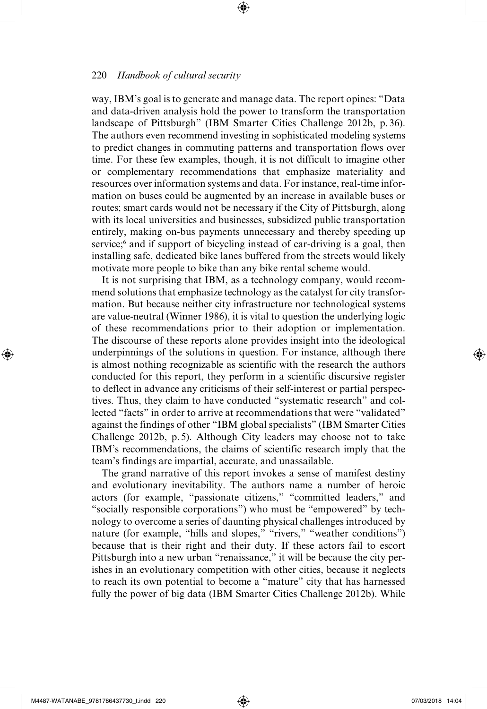way, IBM's goal is to generate and manage data. The report opines: "Data and data-driven analysis hold the power to transform the transportation landscape of Pittsburgh" (IBM Smarter Cities Challenge 2012b, p. 36). The authors even recommend investing in sophisticated modeling systems to predict changes in commuting patterns and transportation flows over time. For these few examples, though, it is not difficult to imagine other or complementary recommendations that emphasize materiality and resources over information systems and data. For instance, real-time information on buses could be augmented by an increase in available buses or routes; smart cards would not be necessary if the City of Pittsburgh, along with its local universities and businesses, subsidized public transportation entirely, making on-bus payments unnecessary and thereby speeding up service;<sup>6</sup> and if support of bicycling instead of car-driving is a goal, then installing safe, dedicated bike lanes buffered from the streets would likely motivate more people to bike than any bike rental scheme would.

⊕

It is not surprising that IBM, as a technology company, would recommend solutions that emphasize technology as the catalyst for city transformation. But because neither city infrastructure nor technological systems are value-neutral (Winner 1986), it is vital to question the underlying logic of these recommendations prior to their adoption or implementation. The discourse of these reports alone provides insight into the ideological underpinnings of the solutions in question. For instance, although there is almost nothing recognizable as scientific with the research the authors conducted for this report, they perform in a scientific discursive register to deflect in advance any criticisms of their self-interest or partial perspectives. Thus, they claim to have conducted "systematic research" and collected "facts" in order to arrive at recommendations that were "validated" against the findings of other "IBM global specialists" (IBM Smarter Cities Challenge 2012b, p. 5). Although City leaders may choose not to take IBM's recommendations, the claims of scientific research imply that the team's findings are impartial, accurate, and unassailable.

The grand narrative of this report invokes a sense of manifest destiny and evolutionary inevitability. The authors name a number of heroic actors (for example, "passionate citizens," "committed leaders," and "socially responsible corporations") who must be "empowered" by technology to overcome a series of daunting physical challenges introduced by nature (for example, "hills and slopes," "rivers," "weather conditions") because that is their right and their duty. If these actors fail to escort Pittsburgh into a new urban "renaissance," it will be because the city perishes in an evolutionary competition with other cities, because it neglects to reach its own potential to become a "mature" city that has harnessed fully the power of big data (IBM Smarter Cities Challenge 2012b). While

⊕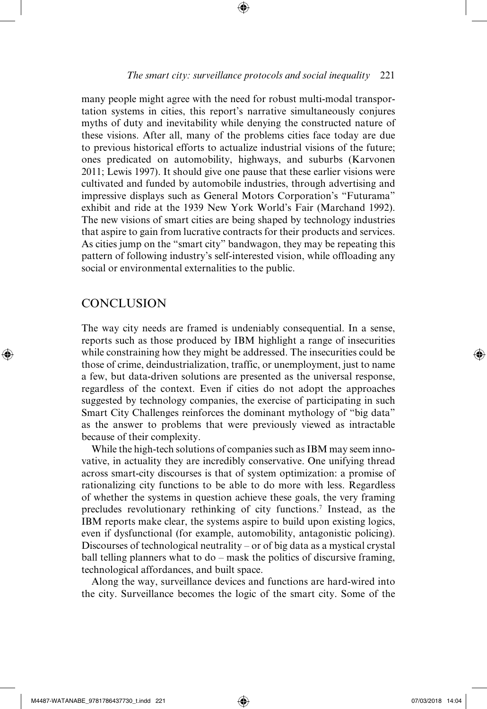⊕

many people might agree with the need for robust multi-modal transportation systems in cities, this report's narrative simultaneously conjures myths of duty and inevitability while denying the constructed nature of these visions. After all, many of the problems cities face today are due to previous historical efforts to actualize industrial visions of the future; ones predicated on automobility, highways, and suburbs (Karvonen 2011; Lewis 1997). It should give one pause that these earlier visions were cultivated and funded by automobile industries, through advertising and impressive displays such as General Motors Corporation's "Futurama" exhibit and ride at the 1939 New York World's Fair (Marchand 1992). The new visions of smart cities are being shaped by technology industries that aspire to gain from lucrative contracts for their products and services. As cities jump on the "smart city" bandwagon, they may be repeating this pattern of following industry's self-interested vision, while offloading any social or environmental externalities to the public.

# **CONCLUSION**

⊕

The way city needs are framed is undeniably consequential. In a sense, reports such as those produced by IBM highlight a range of insecurities while constraining how they might be addressed. The insecurities could be those of crime, deindustrialization, traffic, or unemployment, just to name a few, but data-driven solutions are presented as the universal response, regardless of the context. Even if cities do not adopt the approaches suggested by technology companies, the exercise of participating in such Smart City Challenges reinforces the dominant mythology of "big data" as the answer to problems that were previously viewed as intractable because of their complexity.

While the high-tech solutions of companies such as IBM may seem innovative, in actuality they are incredibly conservative. One unifying thread across smart-city discourses is that of system optimization: a promise of rationalizing city functions to be able to do more with less. Regardless of whether the systems in question achieve these goals, the very framing precludes revolutionary rethinking of city functions.7 Instead, as the IBM reports make clear, the systems aspire to build upon existing logics, even if dysfunctional (for example, automobility, antagonistic policing). Discourses of technological neutrality – or of big data as a mystical crystal ball telling planners what to  $do$  – mask the politics of discursive framing, technological affordances, and built space.

Along the way, surveillance devices and functions are hard-wired into the city. Surveillance becomes the logic of the smart city. Some of the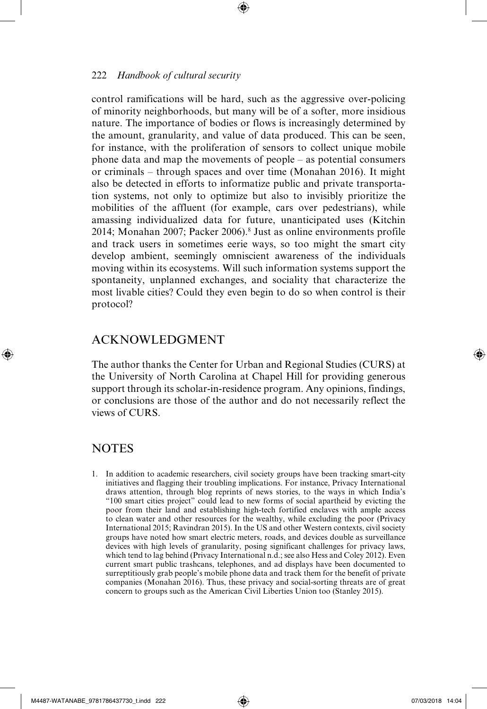control ramifications will be hard, such as the aggressive over-policing of minority neighborhoods, but many will be of a softer, more insidious nature. The importance of bodies or flows is increasingly determined by the amount, granularity, and value of data produced. This can be seen, for instance, with the proliferation of sensors to collect unique mobile phone data and map the movements of people – as potential consumers or criminals – through spaces and over time (Monahan 2016). It might also be detected in efforts to informatize public and private transportation systems, not only to optimize but also to invisibly prioritize the mobilities of the affluent (for example, cars over pedestrians), while amassing individualized data for future, unanticipated uses (Kitchin 2014; Monahan 2007; Packer 2006).8 Just as online environments profile and track users in sometimes eerie ways, so too might the smart city develop ambient, seemingly omniscient awareness of the individuals moving within its ecosystems. Will such information systems support the spontaneity, unplanned exchanges, and sociality that characterize the most livable cities? Could they even begin to do so when control is their protocol?

# ACKNOWLEDGMENT

The author thanks the Center for Urban and Regional Studies (CURS) at the University of North Carolina at Chapel Hill for providing generous support through its scholar-in-residence program. Any opinions, findings, or conclusions are those of the author and do not necessarily reflect the views of CURS.

#### **NOTES**

⊕

1. In addition to academic researchers, civil society groups have been tracking smart-city initiatives and flagging their troubling implications. For instance, Privacy International draws attention, through blog reprints of news stories, to the ways in which India's "100 smart cities project" could lead to new forms of social apartheid by evicting the poor from their land and establishing high-tech fortified enclaves with ample access to clean water and other resources for the wealthy, while excluding the poor (Privacy International 2015; Ravindran 2015). In the US and other Western contexts, civil society groups have noted how smart electric meters, roads, and devices double as surveillance devices with high levels of granularity, posing significant challenges for privacy laws, which tend to lag behind (Privacy International n.d.; see also Hess and Coley 2012). Even current smart public trashcans, telephones, and ad displays have been documented to surreptitiously grab people's mobile phone data and track them for the benefit of private companies (Monahan 2016). Thus, these privacy and social-sorting threats are of great concern to groups such as the American Civil Liberties Union too (Stanley 2015).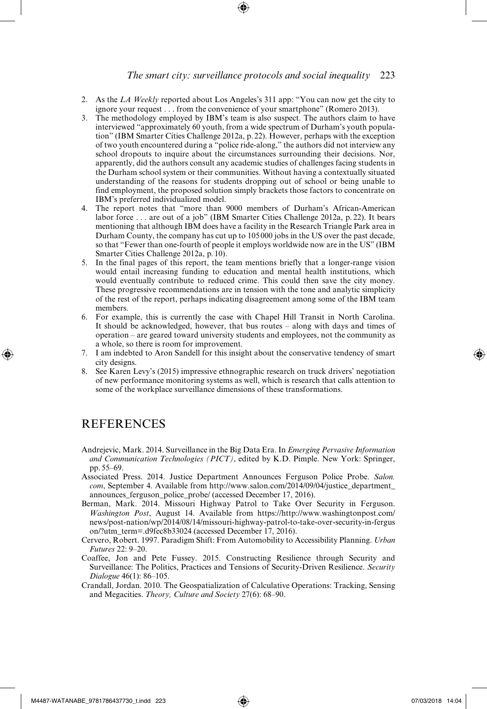#### *The smart city: surveillance protocols and social inequality* 223

- 2. As the *LA Weekly* reported about Los Angeles's 311 app: "You can now get the city to ignore your request . . . from the convenience of your smartphone" (Romero 2013).
- 3. The methodology employed by IBM's team is also suspect. The authors claim to have interviewed "approximately 60 youth, from a wide spectrum of Durham's youth population" (IBM Smarter Cities Challenge 2012a, p. 22). However, perhaps with the exception of two youth encountered during a "police ride-along," the authors did not interview any school dropouts to inquire about the circumstances surrounding their decisions. Nor, apparently, did the authors consult any academic studies of challenges facing students in the Durham school system or their communities. Without having a contextually situated understanding of the reasons for students dropping out of school or being unable to find employment, the proposed solution simply brackets those factors to concentrate on IBM's preferred individualized model.
- 4. The report notes that "more than 9000 members of Durham's African-American labor force . . . are out of a job" (IBM Smarter Cities Challenge 2012a, p. 22). It bears mentioning that although IBM does have a facility in the Research Triangle Park area in Durham County, the company has cut up to 105000 jobs in the US over the past decade, so that "Fewer than one-fourth of people it employs worldwide now are in the US" (IBM Smarter Cities Challenge 2012a, p.10).
- 5. In the final pages of this report, the team mentions briefly that a longer-range vision would entail increasing funding to education and mental health institutions, which would eventually contribute to reduced crime. This could then save the city money. These progressive recommendations are in tension with the tone and analytic simplicity of the rest of the report, perhaps indicating disagreement among some of the IBM team members.
- 6. For example, this is currently the case with Chapel Hill Transit in North Carolina. It should be acknowledged, however, that bus routes – along with days and times of operation – are geared toward university students and employees, not the community as a whole, so there is room for improvement.
- 7. I am indebted to Aron Sandell for this insight about the conservative tendency of smart city designs.
- 8. See Karen Levy's (2015) impressive ethnographic research on truck drivers' negotiation of new performance monitoring systems as well, which is research that calls attention to some of the workplace surveillance dimensions of these transformations.

#### **REFERENCES**

⊕

- Andrejevic, Mark. 2014. Surveillance in the Big Data Era. In *Emerging Pervasive Information and Communication Technologies (PICT)*, edited by K.D. Pimple. New York: Springer, pp.55–69.
- Associated Press. 2014. Justice Department Announces Ferguson Police Probe. *Salon. com*, September 4. Available from http://www.salon.com/2014/09/04/justice\_department\_ announces\_ferguson\_police\_probe/ (accessed December 17, 2016).
- Berman, Mark. 2014. Missouri Highway Patrol to Take Over Security in Ferguson. *Washington Post*, August 14. Available from https://http://www.washingtonpost.com/ news/post-nation/wp/2014/08/14/missouri-highway-patrol-to-take-over-security-in-fergus on/?utm\_term=.d9fec8b33024 (accessed December 17, 2016).
- Cervero, Robert. 1997. Paradigm Shift: From Automobility to Accessibility Planning. *Urban Futures* 22: 9–20.
- Coaffee, Jon and Pete Fussey. 2015. Constructing Resilience through Security and Surveillance: The Politics, Practices and Tensions of Security-Driven Resilience. *Security Dialogue* 46(1): 86–105.
- Crandall, Jordan. 2010. The Geospatialization of Calculative Operations: Tracking, Sensing and Megacities. *Theory, Culture and Society* 27(6): 68–90.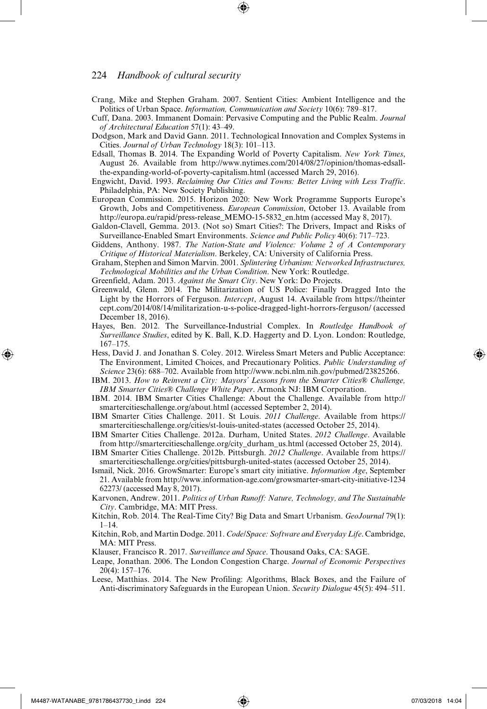- Crang, Mike and Stephen Graham. 2007. Sentient Cities: Ambient Intelligence and the Politics of Urban Space. *Information, Communication and Society* 10(6): 789–817.
- Cuff, Dana. 2003. Immanent Domain: Pervasive Computing and the Public Realm. *Journal of Architectural Education* 57(1): 43–49.
- Dodgson, Mark and David Gann. 2011. Technological Innovation and Complex Systems in Cities. *Journal of Urban Technology* 18(3): 101–113.
- Edsall, Thomas B. 2014. The Expanding World of Poverty Capitalism. *New York Times*, August 26. Available from http://www.nytimes.com/2014/08/27/opinion/thomas-edsallthe-expanding-world-of-poverty-capitalism.html (accessed March 29, 2016).
- Engwicht, David. 1993. *Reclaiming Our Cities and Towns: Better Living with Less Traffic*. Philadelphia, PA: New Society Publishing.
- European Commission. 2015. Horizon 2020: New Work Programme Supports Europe's Growth, Jobs and Competitiveness. *European Commission*, October 13. Available from http://europa.eu/rapid/press-release\_MEMO-15-5832\_en.htm (accessed May 8, 2017).
- Galdon-Clavell, Gemma. 2013. (Not so) Smart Cities?: The Drivers, Impact and Risks of Surveillance-Enabled Smart Environments. *Science and Public Policy* 40(6): 717–723.
- Giddens, Anthony. 1987. *The Nation-State and Violence: Volume 2 of A Contemporary Critique of Historical Materialism*. Berkeley, CA: University of California Press.
- Graham, Stephen and Simon Marvin. 2001. *Splintering Urbanism: Networked Infrastructures, Technological Mobilities and the Urban Condition*. New York: Routledge.
- Greenfield, Adam. 2013. *Against the Smart City*. New York: Do Projects.
- Greenwald, Glenn. 2014. The Militarization of US Police: Finally Dragged Into the Light by the Horrors of Ferguson. *Intercept*, August 14. Available from https://theinter cept.com/2014/08/14/militarization-u-s-police-dragged-light-horrors-ferguson/ (accessed December 18, 2016).
- Hayes, Ben. 2012. The Surveillance-Industrial Complex. In *Routledge Handbook of Surveillance Studies*, edited by K. Ball, K.D. Haggerty and D. Lyon. London: Routledge, 167–175.
- Hess, David J. and Jonathan S. Coley. 2012. Wireless Smart Meters and Public Acceptance: The Environment, Limited Choices, and Precautionary Politics. *Public Understanding of Science* 23(6): 688–702. Available from http://www.ncbi.nlm.nih.gov/pubmed/23825266.
- IBM. 2013. *How to Reinvent a City: Mayors' Lessons from the Smarter Cities® Challenge, IBM Smarter Cities® Challenge White Paper*. Armonk NJ: IBM Corporation.
- IBM. 2014. IBM Smarter Cities Challenge: About the Challenge. Available from http:// smartercitieschallenge.org/about.html (accessed September 2, 2014).
- IBM Smarter Cities Challenge. 2011. St Louis. *2011 Challenge*. Available from https:// smartercitieschallenge.org/cities/st-louis-united-states (accessed October 25, 2014).
- IBM Smarter Cities Challenge. 2012a. Durham, United States. *2012 Challenge*. Available from http://smartercitieschallenge.org/city\_durham\_us.html (accessed October 25, 2014).
- IBM Smarter Cities Challenge. 2012b. Pittsburgh. *2012 Challenge*. Available from https:// smartercitieschallenge.org/cities/pittsburgh-united-states (accessed October 25, 2014).
- Ismail, Nick. 2016. GrowSmarter: Europe's smart city initiative. *Information Age*, September 21. Available from http://www.information-age.com/growsmarter-smart-city-initiative-1234 62273/ (accessed May 8, 2017).
- Karvonen, Andrew. 2011. *Politics of Urban Runoff: Nature, Technology, and The Sustainable City*. Cambridge, MA: MIT Press.
- Kitchin, Rob. 2014. The Real-Time City? Big Data and Smart Urbanism. *GeoJournal* 79(1):  $1 - 14$ .
- Kitchin, Rob, and Martin Dodge. 2011. *Code/Space: Software and Everyday Life*. Cambridge, MA: MIT Press.
- Klauser, Francisco R. 2017. *Surveillance and Space*. Thousand Oaks, CA: SAGE.
- Leape, Jonathan. 2006. The London Congestion Charge. *Journal of Economic Perspectives* 20(4): 157–176.
- Leese, Matthias. 2014. The New Profiling: Algorithms, Black Boxes, and the Failure of Anti-discriminatory Safeguards in the European Union. *Security Dialogue* 45(5): 494–511.

⊕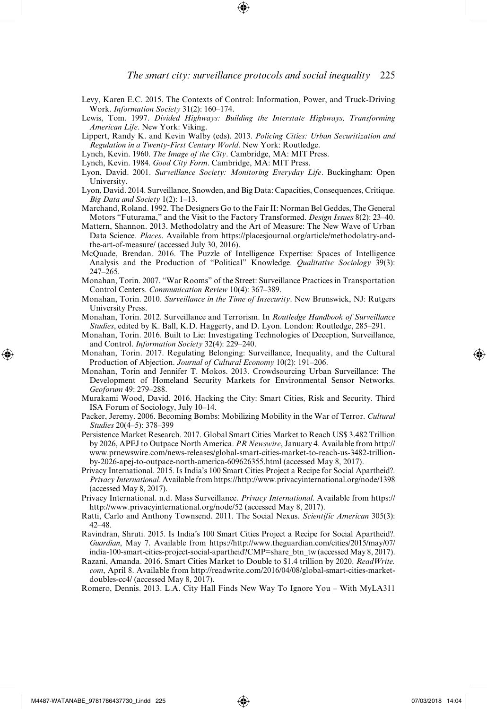- Levy, Karen E.C. 2015. The Contexts of Control: Information, Power, and Truck-Driving Work. *Information Society* 31(2): 160–174.
- Lewis, Tom. 1997. *Divided Highways: Building the Interstate Highways, Transforming American Life*. New York: Viking.
- Lippert, Randy K. and Kevin Walby (eds). 2013. *Policing Cities: Urban Securitization and Regulation in a Twenty-First Century World*. New York: Routledge.
- Lynch, Kevin. 1960. *The Image of the City*. Cambridge, MA: MIT Press.
- Lynch, Kevin. 1984. *Good City Form*. Cambridge, MA: MIT Press.
- Lyon, David. 2001. *Surveillance Society: Monitoring Everyday Life*. Buckingham: Open University.
- Lyon, David. 2014. Surveillance, Snowden, and Big Data: Capacities, Consequences, Critique. *Big Data and Society* 1(2): 1–13.
- Marchand, Roland. 1992. The Designers Go to the Fair II: Norman Bel Geddes, The General Motors "Futurama," and the Visit to the Factory Transformed. *Design Issues* 8(2): 23–40.
- Mattern, Shannon. 2013. Methodolatry and the Art of Measure: The New Wave of Urban Data Science. *Places*. Available from https://placesjournal.org/article/methodolatry-andthe-art-of-measure/ (accessed July 30, 2016).
- McQuade, Brendan. 2016. The Puzzle of Intelligence Expertise: Spaces of Intelligence Analysis and the Production of "Political" Knowledge. *Qualitative Sociology* 39(3): 247–265.
- Monahan, Torin. 2007. "War Rooms" of the Street: Surveillance Practices in Transportation Control Centers. *Communication Review* 10(4): 367–389.
- Monahan, Torin. 2010. *Surveillance in the Time of Insecurity*. New Brunswick, NJ: Rutgers University Press.
- Monahan, Torin. 2012. Surveillance and Terrorism. In *Routledge Handbook of Surveillance Studies*, edited by K. Ball, K.D. Haggerty, and D. Lyon. London: Routledge, 285–291.
- Monahan, Torin. 2016. Built to Lie: Investigating Technologies of Deception, Surveillance, and Control. *Information Society* 32(4): 229–240.
- Monahan, Torin. 2017. Regulating Belonging: Surveillance, Inequality, and the Cultural Production of Abjection. *Journal of Cultural Economy* 10(2): 191–206.
- Monahan, Torin and Jennifer T. Mokos. 2013. Crowdsourcing Urban Surveillance: The Development of Homeland Security Markets for Environmental Sensor Networks. *Geoforum* 49: 279–288.
- Murakami Wood, David. 2016. Hacking the City: Smart Cities, Risk and Security. Third ISA Forum of Sociology, July 10–14.
- Packer, Jeremy. 2006. Becoming Bombs: Mobilizing Mobility in the War of Terror. *Cultural Studies* 20(4–5): 378–399
- Persistence Market Research. 2017. Global Smart Cities Market to Reach US\$ 3.482 Trillion by 2026, APEJ to Outpace North America. *PR Newswire*, January 4. Available from http:// www.prnewswire.com/news-releases/global-smart-cities-market-to-reach-us-3482-trillionby-2026-apej-to-outpace-north-america-609626355.html (accessed May 8, 2017).
- Privacy International. 2015. Is India's 100 Smart Cities Project a Recipe for Social Apartheid?. *Privacy International*. Available from https://http://www.privacyinternational.org/node/1398 (accessed May 8, 2017).
- Privacy International. n.d. Mass Surveillance. *Privacy International*. Available from https:// http://www.privacyinternational.org/node/52 (accessed May 8, 2017).
- Ratti, Carlo and Anthony Townsend. 2011. The Social Nexus. *Scientific American* 305(3): 42–48.
- Ravindran, Shruti. 2015. Is India's 100 Smart Cities Project a Recipe for Social Apartheid?. *Guardian*, May 7. Available from https://http://www.theguardian.com/cities/2015/may/07/ india-100-smart-cities-project-social-apartheid?CMP=share\_btn\_tw (accessed May 8, 2017).
- Razani, Amanda. 2016. Smart Cities Market to Double to \$1.4 trillion by 2020. *ReadWrite. com*, April 8. Available from http://readwrite.com/2016/04/08/global-smart-cities-marketdoubles-cc4/ (accessed May 8, 2017).
- Romero, Dennis. 2013. L.A. City Hall Finds New Way To Ignore You ‒ With MyLA311

⊕